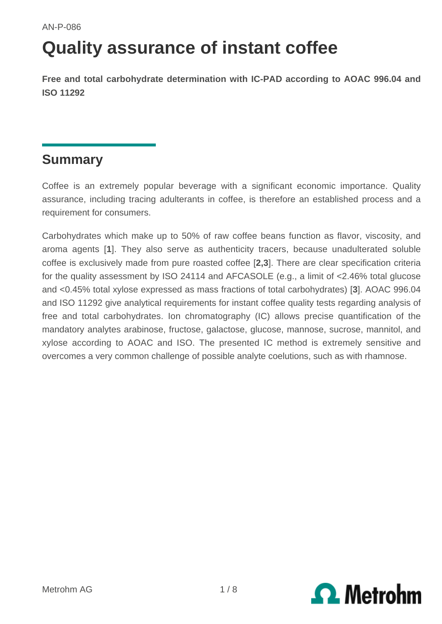# **Quality assurance of instant coffee**

**Free and total carbohydrate determination with IC-PAD according to AOAC 996.04 and ISO 11292**

### **Summary**

Coffee is an extremely popular beverage with a significant economic importance. Quality assurance, including tracing adulterants in coffee, is therefore an established process and a requirement for consumers.

Carbohydrates which make up to 50% of raw coffee beans function as flavor, viscosity, and aroma agents [**1**]. They also serve as authenticity tracers, because unadulterated soluble coffee is exclusively made from pure roasted coffee [**2,3**]. There are clear specification criteria for the quality assessment by ISO 24114 and AFCASOLE (e.g., a limit of <2.46% total glucose and <0.45% total xylose expressed as mass fractions of total carbohydrates) [**3**]. AOAC 996.04 and ISO 11292 give analytical requirements for instant coffee quality tests regarding analysis of free and total carbohydrates. Ion chromatography (IC) allows precise quantification of the mandatory analytes arabinose, fructose, galactose, glucose, mannose, sucrose, mannitol, and xylose according to AOAC and ISO. The presented IC method is extremely sensitive and overcomes a very common challenge of possible analyte coelutions, such as with rhamnose.

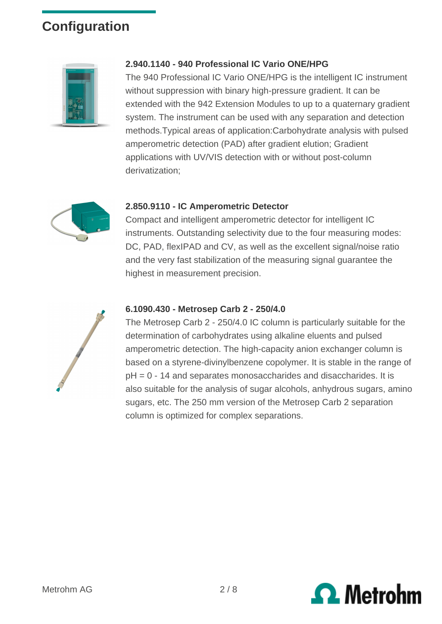# **Configuration**



#### **2.940.1140 - 940 Professional IC Vario ONE/HPG**

The 940 Professional IC Vario ONE/HPG is the intelligent IC instrument without suppression with binary high-pressure gradient. It can be extended with the 942 Extension Modules to up to a quaternary gradient system. The instrument can be used with any separation and detection methods.Typical areas of application:Carbohydrate analysis with pulsed amperometric detection (PAD) after gradient elution; Gradient applications with UV/VIS detection with or without post-column derivatization;



#### **2.850.9110 - IC Amperometric Detector**

Compact and intelligent amperometric detector for intelligent IC instruments. Outstanding selectivity due to the four measuring modes: DC, PAD, flexIPAD and CV, as well as the excellent signal/noise ratio and the very fast stabilization of the measuring signal guarantee the highest in measurement precision.



#### **6.1090.430 - Metrosep Carb 2 - 250/4.0**

The Metrosep Carb 2 - 250/4.0 IC column is particularly suitable for the determination of carbohydrates using alkaline eluents and pulsed amperometric detection. The high-capacity anion exchanger column is based on a styrene-divinylbenzene copolymer. It is stable in the range of pH = 0 - 14 and separates monosaccharides and disaccharides. It is also suitable for the analysis of sugar alcohols, anhydrous sugars, amino sugars, etc. The 250 mm version of the Metrosep Carb 2 separation column is optimized for complex separations.

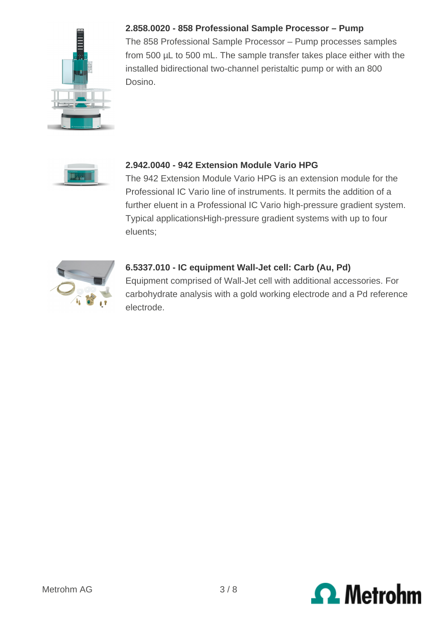

#### **2.858.0020 - 858 Professional Sample Processor – Pump**

The 858 Professional Sample Processor – Pump processes samples from 500 µL to 500 mL. The sample transfer takes place either with the installed bidirectional two-channel peristaltic pump or with an 800 Dosino.



#### **2.942.0040 - 942 Extension Module Vario HPG**

The 942 Extension Module Vario HPG is an extension module for the Professional IC Vario line of instruments. It permits the addition of a further eluent in a Professional IC Vario high-pressure gradient system. Typical applicationsHigh-pressure gradient systems with up to four eluents;



#### **6.5337.010 - IC equipment Wall-Jet cell: Carb (Au, Pd)**

Equipment comprised of Wall-Jet cell with additional accessories. For carbohydrate analysis with a gold working electrode and a Pd reference electrode.

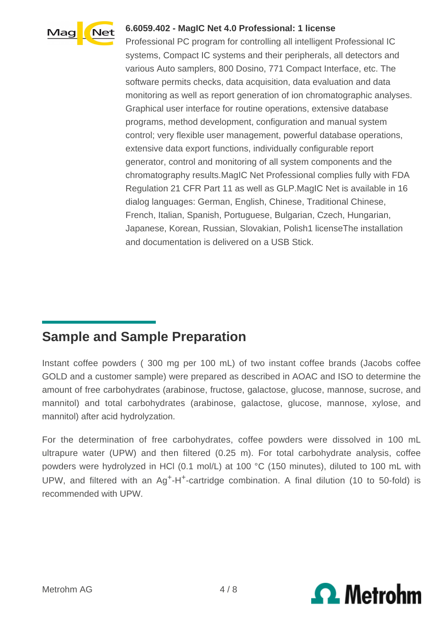

#### **6.6059.402 - MagIC Net 4.0 Professional: 1 license**

Professional PC program for controlling all intelligent Professional IC systems, Compact IC systems and their peripherals, all detectors and various Auto samplers, 800 Dosino, 771 Compact Interface, etc. The software permits checks, data acquisition, data evaluation and data monitoring as well as report generation of ion chromatographic analyses. Graphical user interface for routine operations, extensive database programs, method development, configuration and manual system control; very flexible user management, powerful database operations, extensive data export functions, individually configurable report generator, control and monitoring of all system components and the chromatography results.MagIC Net Professional complies fully with FDA Regulation 21 CFR Part 11 as well as GLP.MagIC Net is available in 16 dialog languages: German, English, Chinese, Traditional Chinese, French, Italian, Spanish, Portuguese, Bulgarian, Czech, Hungarian, Japanese, Korean, Russian, Slovakian, Polish1 licenseThe installation and documentation is delivered on a USB Stick.

## **Sample and Sample Preparation**

Instant coffee powders ( 300 mg per 100 mL) of two instant coffee brands (Jacobs coffee GOLD and a customer sample) were prepared as described in AOAC and ISO to determine the amount of free carbohydrates (arabinose, fructose, galactose, glucose, mannose, sucrose, and mannitol) and total carbohydrates (arabinose, galactose, glucose, mannose, xylose, and mannitol) after acid hydrolyzation.

For the determination of free carbohydrates, coffee powders were dissolved in 100 mL ultrapure water (UPW) and then filtered (0.25 m). For total carbohydrate analysis, coffee powders were hydrolyzed in HCl (0.1 mol/L) at 100 °C (150 minutes), diluted to 100 mL with UPW, and filtered with an  $Aq^+H^+$ -cartridge combination. A final dilution (10 to 50-fold) is recommended with UPW.

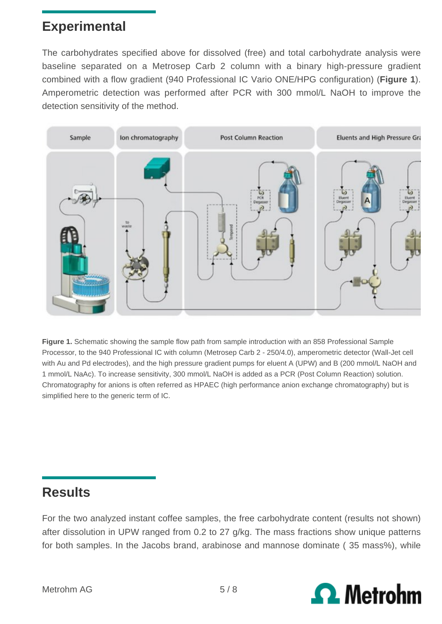## **Experimental**

The carbohydrates specified above for dissolved (free) and total carbohydrate analysis were baseline separated on a Metrosep Carb 2 column with a binary high-pressure gradient combined with a flow gradient (940 Professional IC Vario ONE/HPG configuration) (**Figure 1**). Amperometric detection was performed after PCR with 300 mmol/L NaOH to improve the detection sensitivity of the method.



Figure 1. Schematic showing the sample flow path from sample introduction with an 858 Professional Sample Processor, to the 940 Professional IC with column (Metrosep Carb 2 - 250/4.0), amperometric detector (Wall-Jet cell with Au and Pd electrodes), and the high pressure gradient pumps for eluent A (UPW) and B (200 mmol/L NaOH and 1 mmol/L NaAc). To increase sensitivity, 300 mmol/L NaOH is added as a PCR (Post Column Reaction) solution. Chromatography for anions is often referred as HPAEC (high performance anion exchange chromatography) but is simplified here to the generic term of IC.

### **Results**

For the two analyzed instant coffee samples, the free carbohydrate content (results not shown) after dissolution in UPW ranged from 0.2 to 27 g/kg. The mass fractions show unique patterns for both samples. In the Jacobs brand, arabinose and mannose dominate ( 35 mass%), while

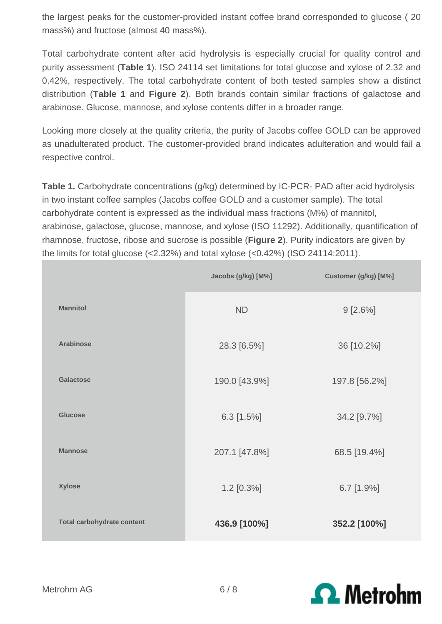the largest peaks for the customer-provided instant coffee brand corresponded to glucose ( 20 mass%) and fructose (almost 40 mass%).

Total carbohydrate content after acid hydrolysis is especially crucial for quality control and purity assessment (**Table 1**). ISO 24114 set limitations for total glucose and xylose of 2.32 and 0.42%, respectively. The total carbohydrate content of both tested samples show a distinct distribution (**Table 1** and **Figure 2**). Both brands contain similar fractions of galactose and arabinose. Glucose, mannose, and xylose contents differ in a broader range.

Looking more closely at the quality criteria, the purity of Jacobs coffee GOLD can be approved as unadulterated product. The customer-provided brand indicates adulteration and would fail a respective control.

**Table 1.** Carbohydrate concentrations (g/kg) determined by IC-PCR- PAD after acid hydrolysis in two instant coffee samples (Jacobs coffee GOLD and a customer sample). The total carbohydrate content is expressed as the individual mass fractions (M%) of mannitol, arabinose, galactose, glucose, mannose, and xylose (ISO 11292). Additionally, quantification of rhamnose, fructose, ribose and sucrose is possible (**Figure 2**). Purity indicators are given by the limits for total glucose (<2.32%) and total xylose (<0.42%) (ISO 24114:2011).

|                                   | Jacobs (g/kg) [M%] | Customer (g/kg) [M%] |
|-----------------------------------|--------------------|----------------------|
| <b>Mannitol</b>                   | <b>ND</b>          | $9 [2.6\%]$          |
| <b>Arabinose</b>                  | 28.3 [6.5%]        | 36 [10.2%]           |
| Galactose                         | 190.0 [43.9%]      | 197.8 [56.2%]        |
| <b>Glucose</b>                    | $6.3$ [1.5%]       | 34.2 [9.7%]          |
| <b>Mannose</b>                    | 207.1 [47.8%]      | 68.5 [19.4%]         |
| <b>Xylose</b>                     | 1.2 [0.3%]         | $6.7$ [1.9%]         |
| <b>Total carbohydrate content</b> | 436.9 [100%]       | 352.2 [100%]         |

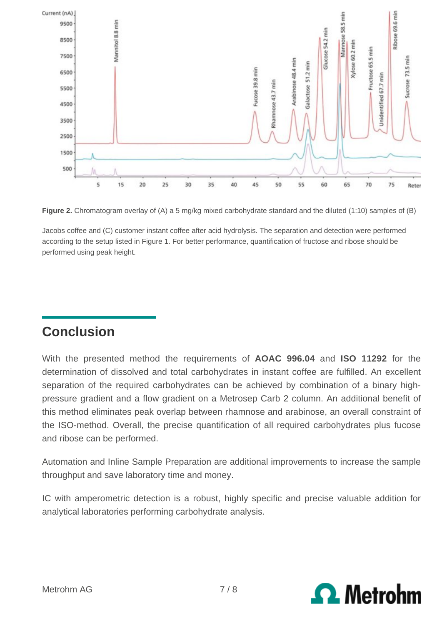

**Figure 2.** Chromatogram overlay of (A) a 5 mg/kg mixed carbohydrate standard and the diluted (1:10) samples of (B)

Jacobs coffee and (C) customer instant coffee after acid hydrolysis. The separation and detection were performed according to the setup listed in Figure 1. For better performance, quantification of fructose and ribose should be performed using peak height.

### **Conclusion**

With the presented method the requirements of **AOAC 996.04** and **ISO 11292** for the determination of dissolved and total carbohydrates in instant coffee are fulfilled. An excellent separation of the required carbohydrates can be achieved by combination of a binary highpressure gradient and a flow gradient on a Metrosep Carb 2 column. An additional benefit of this method eliminates peak overlap between rhamnose and arabinose, an overall constraint of the ISO-method. Overall, the precise quantification of all required carbohydrates plus fucose and ribose can be performed.

Automation and Inline Sample Preparation are additional improvements to increase the sample throughput and save laboratory time and money.

IC with amperometric detection is a robust, highly specific and precise valuable addition for analytical laboratories performing carbohydrate analysis.